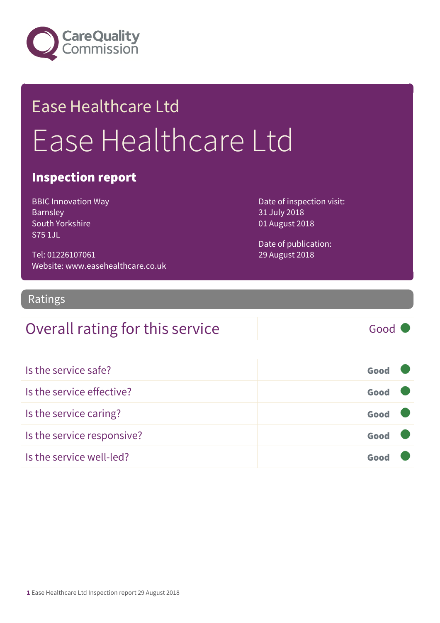

## Ease Healthcare Ltd Ease Healthcare Ltd

#### Inspection report

BBIC Innovation Way Barnsley South Yorkshire S75 1JL

Tel: 01226107061 Website: www.easehealthcare.co.uk Date of inspection visit: 31 July 2018 01 August 2018

Date of publication: 29 August 2018

#### Ratings

#### Overall rating for this service Good

| Is the service safe?       | Good |  |
|----------------------------|------|--|
| Is the service effective?  | Good |  |
| Is the service caring?     | Good |  |
| Is the service responsive? | Good |  |
| Is the service well-led?   |      |  |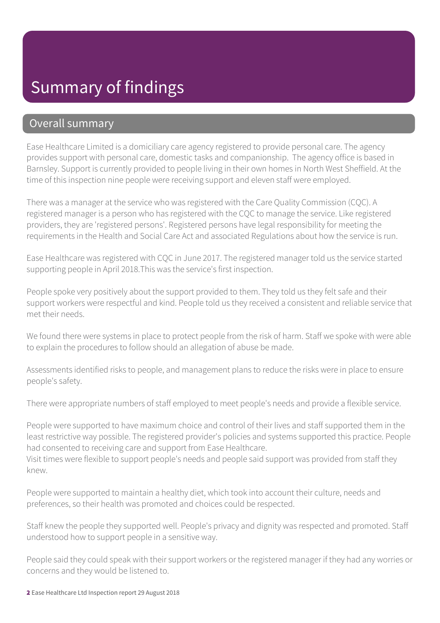#### Summary of findings

#### Overall summary

Ease Healthcare Limited is a domiciliary care agency registered to provide personal care. The agency provides support with personal care, domestic tasks and companionship. The agency office is based in Barnsley. Support is currently provided to people living in their own homes in North West Sheffield. At the time of this inspection nine people were receiving support and eleven staff were employed.

There was a manager at the service who was registered with the Care Quality Commission (CQC). A registered manager is a person who has registered with the CQC to manage the service. Like registered providers, they are 'registered persons'. Registered persons have legal responsibility for meeting the requirements in the Health and Social Care Act and associated Regulations about how the service is run.

Ease Healthcare was registered with CQC in June 2017. The registered manager told us the service started supporting people in April 2018.This was the service's first inspection.

People spoke very positively about the support provided to them. They told us they felt safe and their support workers were respectful and kind. People told us they received a consistent and reliable service that met their needs.

We found there were systems in place to protect people from the risk of harm. Staff we spoke with were able to explain the procedures to follow should an allegation of abuse be made.

Assessments identified risks to people, and management plans to reduce the risks were in place to ensure people's safety.

There were appropriate numbers of staff employed to meet people's needs and provide a flexible service.

People were supported to have maximum choice and control of their lives and staff supported them in the least restrictive way possible. The registered provider's policies and systems supported this practice. People had consented to receiving care and support from Ease Healthcare.

Visit times were flexible to support people's needs and people said support was provided from staff they knew.

People were supported to maintain a healthy diet, which took into account their culture, needs and preferences, so their health was promoted and choices could be respected.

Staff knew the people they supported well. People's privacy and dignity was respected and promoted. Staff understood how to support people in a sensitive way.

People said they could speak with their support workers or the registered manager if they had any worries or concerns and they would be listened to.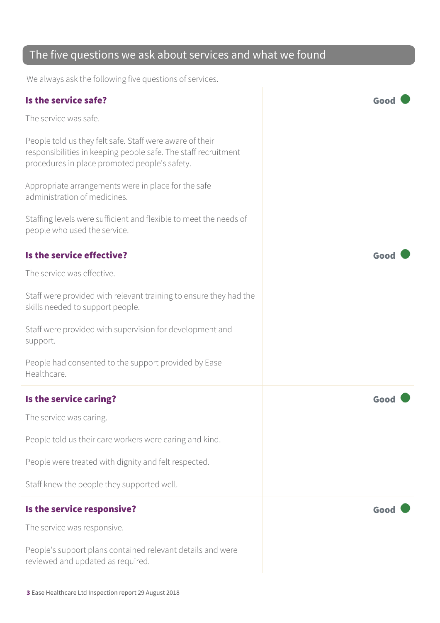#### The five questions we ask about services and what we found

We always ask the following five questions of services.

| Is the service safe?                                                                                                                                                        | Goo  |
|-----------------------------------------------------------------------------------------------------------------------------------------------------------------------------|------|
| The service was safe.                                                                                                                                                       |      |
| People told us they felt safe. Staff were aware of their<br>responsibilities in keeping people safe. The staff recruitment<br>procedures in place promoted people's safety. |      |
| Appropriate arrangements were in place for the safe<br>administration of medicines.                                                                                         |      |
| Staffing levels were sufficient and flexible to meet the needs of<br>people who used the service.                                                                           |      |
| Is the service effective?                                                                                                                                                   | Good |
| The service was effective.                                                                                                                                                  |      |
| Staff were provided with relevant training to ensure they had the<br>skills needed to support people.                                                                       |      |
| Staff were provided with supervision for development and<br>support.                                                                                                        |      |
| People had consented to the support provided by Ease<br>Healthcare.                                                                                                         |      |
| Is the service caring?                                                                                                                                                      | Good |
| The service was caring.                                                                                                                                                     |      |
| People told us their care workers were caring and kind.                                                                                                                     |      |
| People were treated with dignity and felt respected.                                                                                                                        |      |
| Staff knew the people they supported well.                                                                                                                                  |      |
| Is the service responsive?                                                                                                                                                  | Good |
| The service was responsive.                                                                                                                                                 |      |
| People's support plans contained relevant details and were<br>reviewed and updated as required.                                                                             |      |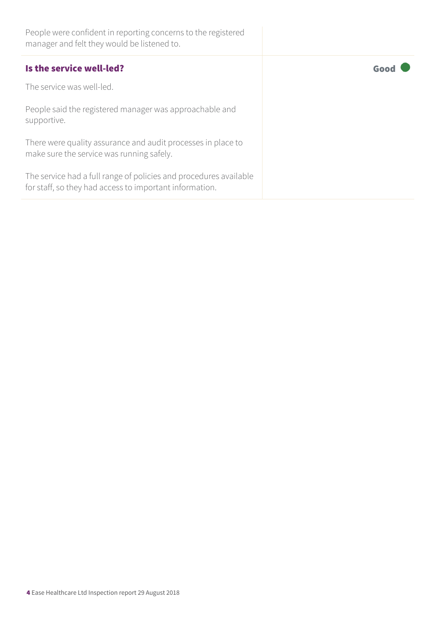| People were confident in reporting concerns to the registered<br>manager and felt they would be listened to.                 |      |
|------------------------------------------------------------------------------------------------------------------------------|------|
| Is the service well-led?                                                                                                     | Good |
| The service was well-led.                                                                                                    |      |
| People said the registered manager was approachable and<br>supportive.                                                       |      |
| There were quality assurance and audit processes in place to<br>make sure the service was running safely.                    |      |
| The service had a full range of policies and procedures available<br>for staff, so they had access to important information. |      |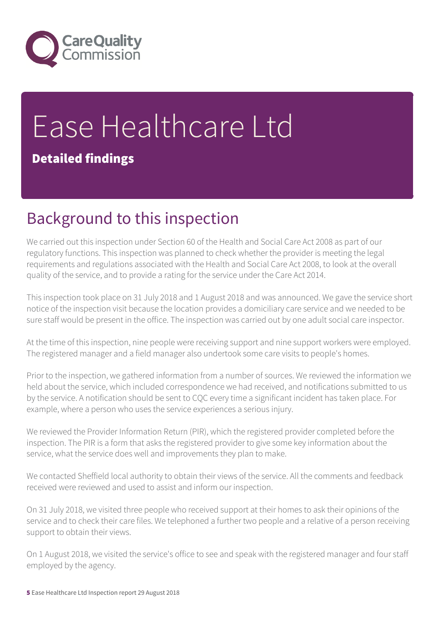

# Ease Healthcare Ltd

#### Detailed findings

## Background to this inspection

We carried out this inspection under Section 60 of the Health and Social Care Act 2008 as part of our regulatory functions. This inspection was planned to check whether the provider is meeting the legal requirements and regulations associated with the Health and Social Care Act 2008, to look at the overall quality of the service, and to provide a rating for the service under the Care Act 2014.

This inspection took place on 31 July 2018 and 1 August 2018 and was announced. We gave the service short notice of the inspection visit because the location provides a domiciliary care service and we needed to be sure staff would be present in the office. The inspection was carried out by one adult social care inspector.

At the time of this inspection, nine people were receiving support and nine support workers were employed. The registered manager and a field manager also undertook some care visits to people's homes.

Prior to the inspection, we gathered information from a number of sources. We reviewed the information we held about the service, which included correspondence we had received, and notifications submitted to us by the service. A notification should be sent to CQC every time a significant incident has taken place. For example, where a person who uses the service experiences a serious injury.

We reviewed the Provider Information Return (PIR), which the registered provider completed before the inspection. The PIR is a form that asks the registered provider to give some key information about the service, what the service does well and improvements they plan to make.

We contacted Sheffield local authority to obtain their views of the service. All the comments and feedback received were reviewed and used to assist and inform our inspection.

On 31 July 2018, we visited three people who received support at their homes to ask their opinions of the service and to check their care files. We telephoned a further two people and a relative of a person receiving support to obtain their views.

On 1 August 2018, we visited the service's office to see and speak with the registered manager and four staff employed by the agency.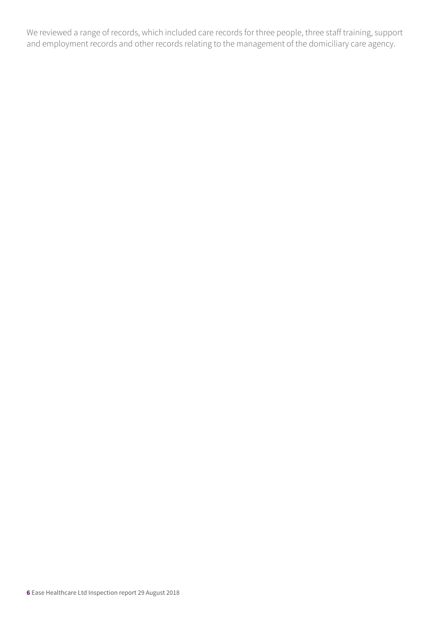We reviewed a range of records, which included care records for three people, three staff training, support and employment records and other records relating to the management of the domiciliary care agency.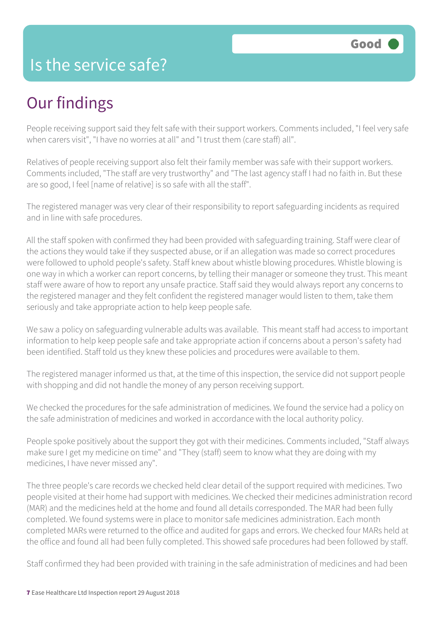#### Is the service safe?

### Our findings

People receiving support said they felt safe with their support workers. Comments included, "I feel very safe when carers visit", "I have no worries at all" and "I trust them (care staff) all".

Relatives of people receiving support also felt their family member was safe with their support workers. Comments included, "The staff are very trustworthy" and "The last agency staff I had no faith in. But these are so good, I feel [name of relative] is so safe with all the staff".

The registered manager was very clear of their responsibility to report safeguarding incidents as required and in line with safe procedures.

All the staff spoken with confirmed they had been provided with safeguarding training. Staff were clear of the actions they would take if they suspected abuse, or if an allegation was made so correct procedures were followed to uphold people's safety. Staff knew about whistle blowing procedures. Whistle blowing is one way in which a worker can report concerns, by telling their manager or someone they trust. This meant staff were aware of how to report any unsafe practice. Staff said they would always report any concerns to the registered manager and they felt confident the registered manager would listen to them, take them seriously and take appropriate action to help keep people safe.

We saw a policy on safeguarding vulnerable adults was available. This meant staff had access to important information to help keep people safe and take appropriate action if concerns about a person's safety had been identified. Staff told us they knew these policies and procedures were available to them.

The registered manager informed us that, at the time of this inspection, the service did not support people with shopping and did not handle the money of any person receiving support.

We checked the procedures for the safe administration of medicines. We found the service had a policy on the safe administration of medicines and worked in accordance with the local authority policy.

People spoke positively about the support they got with their medicines. Comments included, "Staff always make sure I get my medicine on time" and "They (staff) seem to know what they are doing with my medicines, I have never missed any".

The three people's care records we checked held clear detail of the support required with medicines. Two people visited at their home had support with medicines. We checked their medicines administration record (MAR) and the medicines held at the home and found all details corresponded. The MAR had been fully completed. We found systems were in place to monitor safe medicines administration. Each month completed MARs were returned to the office and audited for gaps and errors. We checked four MARs held at the office and found all had been fully completed. This showed safe procedures had been followed by staff.

Staff confirmed they had been provided with training in the safe administration of medicines and had been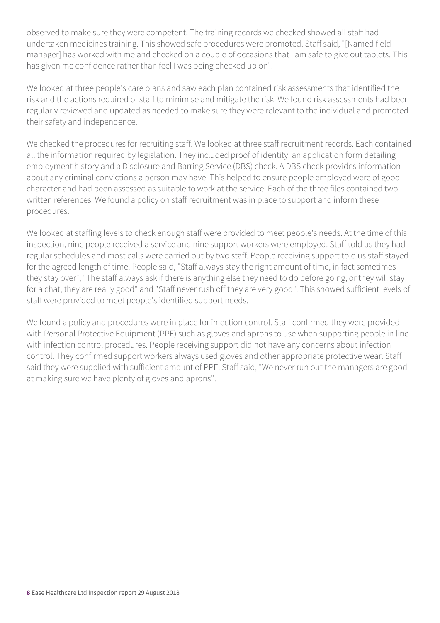observed to make sure they were competent. The training records we checked showed all staff had undertaken medicines training. This showed safe procedures were promoted. Staff said, "[Named field manager] has worked with me and checked on a couple of occasions that I am safe to give out tablets. This has given me confidence rather than feel I was being checked up on".

We looked at three people's care plans and saw each plan contained risk assessments that identified the risk and the actions required of staff to minimise and mitigate the risk. We found risk assessments had been regularly reviewed and updated as needed to make sure they were relevant to the individual and promoted their safety and independence.

We checked the procedures for recruiting staff. We looked at three staff recruitment records. Each contained all the information required by legislation. They included proof of identity, an application form detailing employment history and a Disclosure and Barring Service (DBS) check. A DBS check provides information about any criminal convictions a person may have. This helped to ensure people employed were of good character and had been assessed as suitable to work at the service. Each of the three files contained two written references. We found a policy on staff recruitment was in place to support and inform these procedures.

We looked at staffing levels to check enough staff were provided to meet people's needs. At the time of this inspection, nine people received a service and nine support workers were employed. Staff told us they had regular schedules and most calls were carried out by two staff. People receiving support told us staff stayed for the agreed length of time. People said, "Staff always stay the right amount of time, in fact sometimes they stay over", "The staff always ask if there is anything else they need to do before going, or they will stay for a chat, they are really good" and "Staff never rush off they are very good". This showed sufficient levels of staff were provided to meet people's identified support needs.

We found a policy and procedures were in place for infection control. Staff confirmed they were provided with Personal Protective Equipment (PPE) such as gloves and aprons to use when supporting people in line with infection control procedures. People receiving support did not have any concerns about infection control. They confirmed support workers always used gloves and other appropriate protective wear. Staff said they were supplied with sufficient amount of PPE. Staff said, "We never run out the managers are good at making sure we have plenty of gloves and aprons".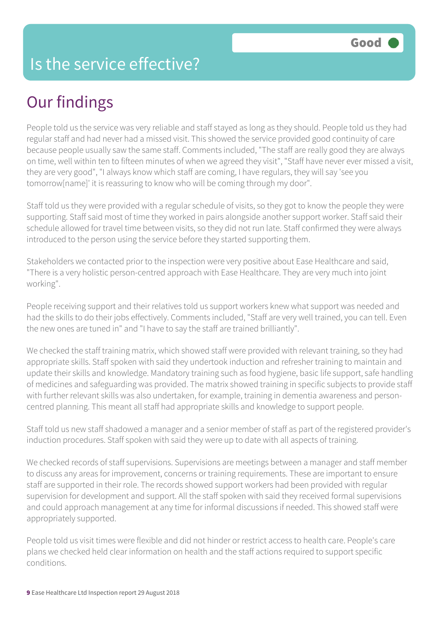#### Is the service effective?

## Our findings

People told us the service was very reliable and staff stayed as long as they should. People told us they had regular staff and had never had a missed visit. This showed the service provided good continuity of care because people usually saw the same staff. Comments included, "The staff are really good they are always on time, well within ten to fifteen minutes of when we agreed they visit", "Staff have never ever missed a visit, they are very good", "I always know which staff are coming, I have regulars, they will say 'see you tomorrow[name]' it is reassuring to know who will be coming through my door".

Staff told us they were provided with a regular schedule of visits, so they got to know the people they were supporting. Staff said most of time they worked in pairs alongside another support worker. Staff said their schedule allowed for travel time between visits, so they did not run late. Staff confirmed they were always introduced to the person using the service before they started supporting them.

Stakeholders we contacted prior to the inspection were very positive about Ease Healthcare and said, "There is a very holistic person-centred approach with Ease Healthcare. They are very much into joint working".

People receiving support and their relatives told us support workers knew what support was needed and had the skills to do their jobs effectively. Comments included, "Staff are very well trained, you can tell. Even the new ones are tuned in" and "I have to say the staff are trained brilliantly".

We checked the staff training matrix, which showed staff were provided with relevant training, so they had appropriate skills. Staff spoken with said they undertook induction and refresher training to maintain and update their skills and knowledge. Mandatory training such as food hygiene, basic life support, safe handling of medicines and safeguarding was provided. The matrix showed training in specific subjects to provide staff with further relevant skills was also undertaken, for example, training in dementia awareness and personcentred planning. This meant all staff had appropriate skills and knowledge to support people.

Staff told us new staff shadowed a manager and a senior member of staff as part of the registered provider's induction procedures. Staff spoken with said they were up to date with all aspects of training.

We checked records of staff supervisions. Supervisions are meetings between a manager and staff member to discuss any areas for improvement, concerns or training requirements. These are important to ensure staff are supported in their role. The records showed support workers had been provided with regular supervision for development and support. All the staff spoken with said they received formal supervisions and could approach management at any time for informal discussions if needed. This showed staff were appropriately supported.

People told us visit times were flexible and did not hinder or restrict access to health care. People's care plans we checked held clear information on health and the staff actions required to support specific conditions.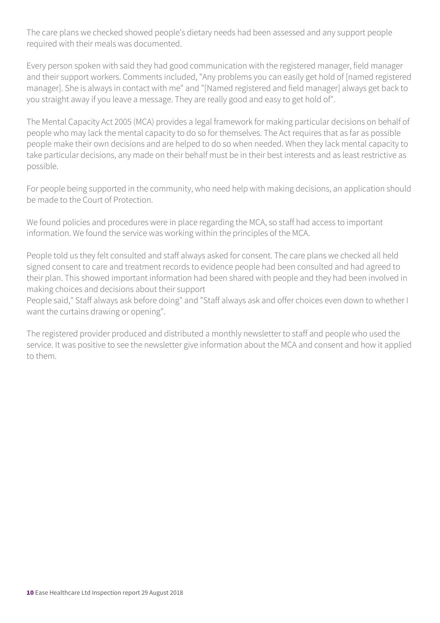The care plans we checked showed people's dietary needs had been assessed and any support people required with their meals was documented.

Every person spoken with said they had good communication with the registered manager, field manager and their support workers. Comments included, "Any problems you can easily get hold of [named registered manager]. She is always in contact with me" and "[Named registered and field manager] always get back to you straight away if you leave a message. They are really good and easy to get hold of".

The Mental Capacity Act 2005 (MCA) provides a legal framework for making particular decisions on behalf of people who may lack the mental capacity to do so for themselves. The Act requires that as far as possible people make their own decisions and are helped to do so when needed. When they lack mental capacity to take particular decisions, any made on their behalf must be in their best interests and as least restrictive as possible.

For people being supported in the community, who need help with making decisions, an application should be made to the Court of Protection.

We found policies and procedures were in place regarding the MCA, so staff had access to important information. We found the service was working within the principles of the MCA.

People told us they felt consulted and staff always asked for consent. The care plans we checked all held signed consent to care and treatment records to evidence people had been consulted and had agreed to their plan. This showed important information had been shared with people and they had been involved in making choices and decisions about their support

People said," Staff always ask before doing" and "Staff always ask and offer choices even down to whether I want the curtains drawing or opening".

The registered provider produced and distributed a monthly newsletter to staff and people who used the service. It was positive to see the newsletter give information about the MCA and consent and how it applied to them.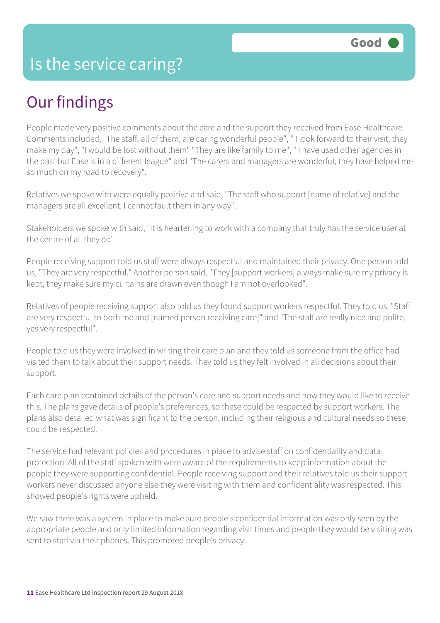## Our findings

People made very positive comments about the care and the support they received from Ease Healthcare. Comments included, "The staff, all of them, are caring wonderful people", " I look forward to their visit, they make my day", "I would be lost without them" "They are like family to me", " I have used other agencies in the past but Ease is in a different league" and "The carers and managers are wonderful, they have helped me so much on my road to recovery".

Relatives we spoke with were equally positive and said, "The staff who support [name of relative] and the managers are all excellent. I cannot fault them in any way".

Stakeholders we spoke with said, "It is heartening to work with a company that truly has the service user at the centre of all they do".

People receiving support told us staff were always respectful and maintained their privacy. One person told us, "They are very respectful." Another person said, "They [support workers] always make sure my privacy is kept, they make sure my curtains are drawn even though I am not overlooked".

Relatives of people receiving support also told us they found support workers respectful. They told us, "Staff are very respectful to both me and [named person receiving care]" and "The staff are really nice and polite, yes very respectful".

People told us they were involved in writing their care plan and they told us someone from the office had visited them to talk about their support needs. They told us they felt involved in all decisions about their support.

Each care plan contained details of the person's care and support needs and how they would like to receive this. The plans gave details of people's preferences, so these could be respected by support workers. The plans also detailed what was significant to the person, including their religious and cultural needs so these could be respected.

The service had relevant policies and procedures in place to advise staff on confidentiality and data protection. All of the staff spoken with were aware of the requirements to keep information about the people they were supporting confidential. People receiving support and their relatives told us their support workers never discussed anyone else they were visiting with them and confidentiality was respected. This showed people's rights were upheld.

We saw there was a system in place to make sure people's confidential information was only seen by the appropriate people and only limited information regarding visit times and people they would be visiting was sent to staff via their phones. This promoted people's privacy.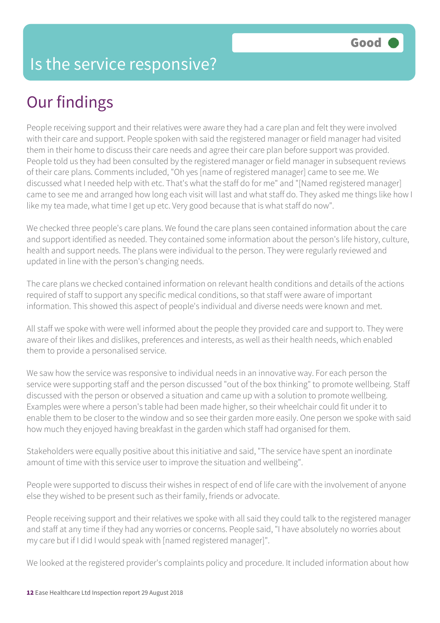## Our findings

People receiving support and their relatives were aware they had a care plan and felt they were involved with their care and support. People spoken with said the registered manager or field manager had visited them in their home to discuss their care needs and agree their care plan before support was provided. People told us they had been consulted by the registered manager or field manager in subsequent reviews of their care plans. Comments included, "Oh yes [name of registered manager] came to see me. We discussed what I needed help with etc. That's what the staff do for me" and "[Named registered manager] came to see me and arranged how long each visit will last and what staff do. They asked me things like how I like my tea made, what time I get up etc. Very good because that is what staff do now".

We checked three people's care plans. We found the care plans seen contained information about the care and support identified as needed. They contained some information about the person's life history, culture, health and support needs. The plans were individual to the person. They were regularly reviewed and updated in line with the person's changing needs.

The care plans we checked contained information on relevant health conditions and details of the actions required of staff to support any specific medical conditions, so that staff were aware of important information. This showed this aspect of people's individual and diverse needs were known and met.

All staff we spoke with were well informed about the people they provided care and support to. They were aware of their likes and dislikes, preferences and interests, as well as their health needs, which enabled them to provide a personalised service.

We saw how the service was responsive to individual needs in an innovative way. For each person the service were supporting staff and the person discussed "out of the box thinking" to promote wellbeing. Staff discussed with the person or observed a situation and came up with a solution to promote wellbeing. Examples were where a person's table had been made higher, so their wheelchair could fit under it to enable them to be closer to the window and so see their garden more easily. One person we spoke with said how much they enjoyed having breakfast in the garden which staff had organised for them.

Stakeholders were equally positive about this initiative and said, "The service have spent an inordinate amount of time with this service user to improve the situation and wellbeing".

People were supported to discuss their wishes in respect of end of life care with the involvement of anyone else they wished to be present such as their family, friends or advocate.

People receiving support and their relatives we spoke with all said they could talk to the registered manager and staff at any time if they had any worries or concerns. People said, "I have absolutely no worries about my care but if I did I would speak with [named registered manager]".

We looked at the registered provider's complaints policy and procedure. It included information about how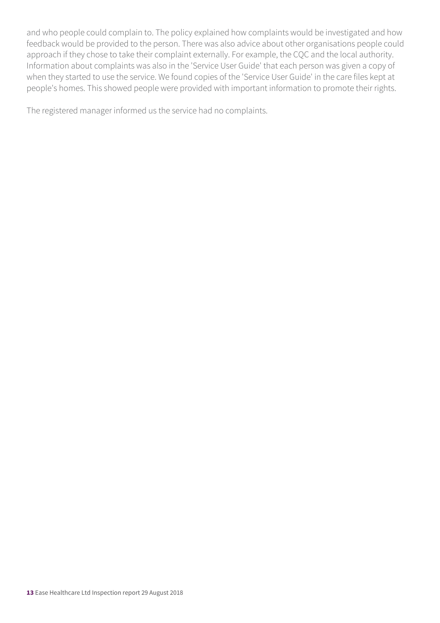and who people could complain to. The policy explained how complaints would be investigated and how feedback would be provided to the person. There was also advice about other organisations people could approach if they chose to take their complaint externally. For example, the CQC and the local authority. Information about complaints was also in the 'Service User Guide' that each person was given a copy of when they started to use the service. We found copies of the 'Service User Guide' in the care files kept at people's homes. This showed people were provided with important information to promote their rights.

The registered manager informed us the service had no complaints.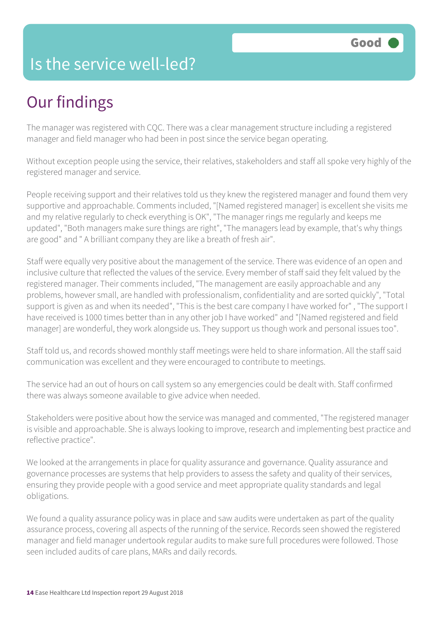#### Is the service well-led?

## Our findings

The manager was registered with CQC. There was a clear management structure including a registered manager and field manager who had been in post since the service began operating.

Without exception people using the service, their relatives, stakeholders and staff all spoke very highly of the registered manager and service.

People receiving support and their relatives told us they knew the registered manager and found them very supportive and approachable. Comments included, "[Named registered manager] is excellent she visits me and my relative regularly to check everything is OK", "The manager rings me regularly and keeps me updated", "Both managers make sure things are right", "The managers lead by example, that's why things are good" and " A brilliant company they are like a breath of fresh air".

Staff were equally very positive about the management of the service. There was evidence of an open and inclusive culture that reflected the values of the service. Every member of staff said they felt valued by the registered manager. Their comments included, "The management are easily approachable and any problems, however small, are handled with professionalism, confidentiality and are sorted quickly", "Total support is given as and when its needed", "This is the best care company I have worked for" , "The support I have received is 1000 times better than in any other job I have worked" and "[Named registered and field manager] are wonderful, they work alongside us. They support us though work and personal issues too".

Staff told us, and records showed monthly staff meetings were held to share information. All the staff said communication was excellent and they were encouraged to contribute to meetings.

The service had an out of hours on call system so any emergencies could be dealt with. Staff confirmed there was always someone available to give advice when needed.

Stakeholders were positive about how the service was managed and commented, "The registered manager is visible and approachable. She is always looking to improve, research and implementing best practice and reflective practice".

We looked at the arrangements in place for quality assurance and governance. Quality assurance and governance processes are systems that help providers to assess the safety and quality of their services, ensuring they provide people with a good service and meet appropriate quality standards and legal obligations.

We found a quality assurance policy was in place and saw audits were undertaken as part of the quality assurance process, covering all aspects of the running of the service. Records seen showed the registered manager and field manager undertook regular audits to make sure full procedures were followed. Those seen included audits of care plans, MARs and daily records.